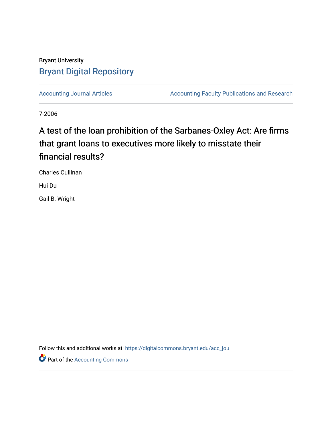## Bryant University [Bryant Digital Repository](https://digitalcommons.bryant.edu/)

[Accounting Journal Articles](https://digitalcommons.bryant.edu/acc_jou) **Accounting Faculty Publications and Research** Accounting Faculty Publications and Research

7-2006

# A test of the loan prohibition of the Sarbanes-Oxley Act: Are firms that grant loans to executives more likely to misstate their financial results?

Charles Cullinan

Hui Du

Gail B. Wright

Follow this and additional works at: [https://digitalcommons.bryant.edu/acc\\_jou](https://digitalcommons.bryant.edu/acc_jou?utm_source=digitalcommons.bryant.edu%2Facc_jou%2F143&utm_medium=PDF&utm_campaign=PDFCoverPages)

**Part of the [Accounting Commons](http://network.bepress.com/hgg/discipline/625?utm_source=digitalcommons.bryant.edu%2Facc_jou%2F143&utm_medium=PDF&utm_campaign=PDFCoverPages)**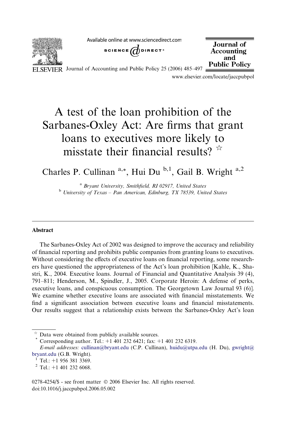Available online at www.sciencedirect.com





Journal of Accounting and **Public Policy** 

SEVIER Journal of Accounting and Public Policy 25 (2006) 485–497  $=$ 

www.elsevier.com/locate/jaccpubpol

## A test of the loan prohibition of the Sarbanes-Oxley Act: Are firms that grant loans to executives more likely to misstate their financial results?  $\star$

Charles P. Cullinan  $a_{1}, b_{1}$ , Hui Du  $b_{1}$ , Gail B. Wright  $a_{1}$ ,  $a_{2}$ 

<sup>a</sup> Bryant University, Smithfield, RI 02917, United States  $b$  University of Texas – Pan American, Edinburg, TX 78539, United States

#### Abstract

The Sarbanes-Oxley Act of 2002 was designed to improve the accuracy and reliability of financial reporting and prohibits public companies from granting loans to executives. Without considering the effects of executive loans on financial reporting, some researchers have questioned the appropriateness of the Act's loan prohibition [Kahle, K., Shastri, K., 2004. Executive loans. Journal of Financial and Quantitative Analysis 39 (4), 791–811; Henderson, M., Spindler, J., 2005. Corporate Heroin: A defense of perks, executive loans, and conspicuous consumption. The Georgetown Law Journal 93 (6)]. We examine whether executive loans are associated with financial misstatements. We find a significant association between executive loans and financial misstatements. Our results suggest that a relationship exists between the Sarbanes-Oxley Act's loan

 $\stackrel{\text{\tiny{*}}}{\sim}$  Data were obtained from publicly available sources.<br> $\stackrel{\text{\tiny{*}}}{\sim}$  Corresponding author. Tel.: +1 401 232 6421; fax: +1 401 232 6319.

E-mail addresses: [cullinan@bryant.edu](mailto:cullinan@bryant.edu) (C.P. Cullinan), [huidu@utpa.edu](mailto:huidu@utpa.edu) (H. Du), [gwright@](mailto:gwright@ bryant.edu) [bryant.edu](mailto:gwright@ bryant.edu) (G.B. Wright).<br><sup>1</sup> Tel.: +1 956 381 3369.<br><sup>2</sup> Tel.: +1 401 232 6068.

 $0278 - 4254$ /\$ - see front matter  $\odot$  2006 Elsevier Inc. All rights reserved. doi:10.1016/j.jaccpubpol.2006.05.002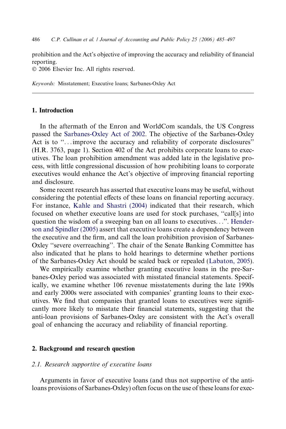prohibition and the Act's objective of improving the accuracy and reliability of financial reporting.

© 2006 Elsevier Inc. All rights reserved.

Keywords: Misstatement; Executive loans; Sarbanes-Oxley Act

## 1. Introduction

In the aftermath of the Enron and WorldCom scandals, the US Congress passed the [Sarbanes-Oxley Act of 2002.](#page-13-0) The objective of the Sarbanes-Oxley Act is to "...improve the accuracy and reliability of corporate disclosures" (H.R. 3763, page 1). Section 402 of the Act prohibits corporate loans to executives. The loan prohibition amendment was added late in the legislative process, with little congressional discussion of how prohibiting loans to corporate executives would enhance the Act's objective of improving financial reporting and disclosure.

Some recent research has asserted that executive loans may be useful, without considering the potential effects of these loans on financial reporting accuracy. For instance, [Kahle and Shastri \(2004\)](#page-12-0) indicated that their research, which focused on whether executive loans are used for stock purchases, ''call[s] into question the wisdom of a sweeping ban on all loans to executives...''. [Hender](#page-12-0)[son and Spindler \(2005\)](#page-12-0) assert that executive loans create a dependency between the executive and the firm, and call the loan prohibition provision of Sarbanes-Oxley ''severe overreaching''. The chair of the Senate Banking Committee has also indicated that he plans to hold hearings to determine whether portions of the Sarbanes-Oxley Act should be scaled back or repealed ([Labaton, 2005\)](#page-12-0).

We empirically examine whether granting executive loans in the pre-Sarbanes-Oxley period was associated with misstated financial statements. Specifically, we examine whether 106 revenue misstatements during the late 1990s and early 2000s were associated with companies' granting loans to their executives. We find that companies that granted loans to executives were significantly more likely to misstate their financial statements, suggesting that the anti-loan provisions of Sarbanes-Oxley are consistent with the Act's overall goal of enhancing the accuracy and reliability of financial reporting.

#### 2. Background and research question

## 2.1. Research supportive of executive loans

Arguments in favor of executive loans (and thus not supportive of the antiloans provisions of Sarbanes-Oxley) often focus on the use of these loans for exec-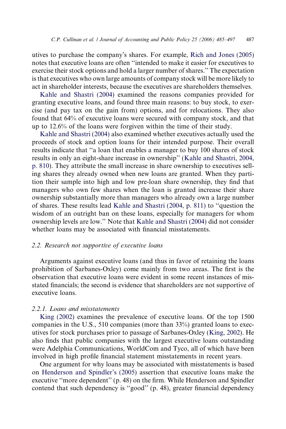utives to purchase the company's shares. For example, [Rich and Jones \(2005\)](#page-13-0) notes that executive loans are often ''intended to make it easier for executives to exercise their stock options and hold a larger number of shares.'' The expectation is that executives who own large amounts of company stock will be more likely to act in shareholder interests, because the executives are shareholders themselves.

[Kahle and Shastri \(2004\)](#page-12-0) examined the reasons companies provided for granting executive loans, and found three main reasons: to buy stock, to exercise (and pay tax on the gain from) options, and for relocations. They also found that 64% of executive loans were secured with company stock, and that up to 12.6% of the loans were forgiven within the time of their study.

[Kahle and Shastri \(2004\)](#page-12-0) also examined whether executives actually used the proceeds of stock and option loans for their intended purpose. Their overall results indicate that ''a loan that enables a manager to buy 100 shares of stock results in only an eight-share increase in ownership'' [\(Kahle and Shastri, 2004,](#page-12-0) [p. 810](#page-12-0)). They attribute the small increase in share ownership to executives selling shares they already owned when new loans are granted. When they partition their sample into high and low pre-loan share ownership, they find that managers who own few shares when the loan is granted increase their share ownership substantially more than managers who already own a large number of shares. These results lead [Kahle and Shastri \(2004, p. 811\)](#page-12-0) to ''question the wisdom of an outright ban on these loans, especially for managers for whom ownership levels are low.'' Note that [Kahle and Shastri \(2004\)](#page-12-0) did not consider whether loans may be associated with financial misstatements.

## 2.2. Research not supportive of executive loans

Arguments against executive loans (and thus in favor of retaining the loans prohibition of Sarbanes-Oxley) come mainly from two areas. The first is the observation that executive loans were evident in some recent instances of misstated financials; the second is evidence that shareholders are not supportive of executive loans.

## 2.2.1. Loans and misstatements

[King \(2002\)](#page-12-0) examines the prevalence of executive loans. Of the top 1500 companies in the U.S., 510 companies (more than 33%) granted loans to executives for stock purchases prior to passage of Sarbanes-Oxley ([King, 2002\)](#page-12-0). He also finds that public companies with the largest executive loans outstanding were Adelphia Communications, WorldCom and Tyco, all of which have been involved in high profile financial statement misstatements in recent years.

One argument for why loans may be associated with misstatements is based on [Henderson and Spindler's \(2005\)](#page-12-0) assertion that executive loans make the executive "more dependent" (p. 48) on the firm. While Henderson and Spindler contend that such dependency is ''good'' (p. 48), greater financial dependency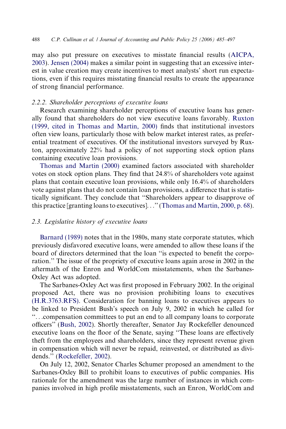may also put pressure on executives to misstate financial results ([AICPA,](#page-12-0) [2003](#page-12-0)). [Jensen \(2004\)](#page-12-0) makes a similar point in suggesting that an excessive interest in value creation may create incentives to meet analysts' short run expectations, even if this requires misstating financial results to create the appearance of strong financial performance.

## 2.2.2. Shareholder perceptions of executive loans

Research examining shareholder perceptions of executive loans has generally found that shareholders do not view executive loans favorably. [Ruxton](#page-13-0) [\(1999, cited in Thomas and Martin, 2000\)](#page-13-0) finds that institutional investors often view loans, particularly those with below market interest rates, as preferential treatment of executives. Of the institutional investors surveyed by Ruxton, approximately 22% had a policy of not supporting stock option plans containing executive loan provisions.

[Thomas and Martin \(2000\)](#page-13-0) examined factors associated with shareholder votes on stock option plans. They find that 24.8% of shareholders vote against plans that contain executive loan provisions, while only 16.4% of shareholders vote against plans that do not contain loan provisions, a difference that is statistically significant. They conclude that ''Shareholders appear to disapprove of this practice [granting loans to executives]...'' [\(Thomas and Martin, 2000, p. 68\)](#page-13-0).

### 2.3. Legislative history of executive loans

[Barnard \(1989\)](#page-12-0) notes that in the 1980s, many state corporate statutes, which previously disfavored executive loans, were amended to allow these loans if the board of directors determined that the loan ''is expected to benefit the corporation.'' The issue of the propriety of executive loans again arose in 2002 in the aftermath of the Enron and WorldCom misstatements, when the Sarbanes-Oxley Act was adopted.

The Sarbanes-Oxley Act was first proposed in February 2002. In the original proposed Act, there was no provision prohibiting loans to executives [\(H.R.3763.RFS\).](#page-12-0) Consideration for banning loans to executives appears to be linked to President Bush's speech on July 9, 2002 in which he called for ''...compensation committees to put an end to all company loans to corporate officers'' [\(Bush, 2002](#page-12-0)). Shortly thereafter, Senator Jay Rockefeller denounced executive loans on the floor of the Senate, saying ''These loans are effectively theft from the employees and shareholders, since they represent revenue given in compensation which will never be repaid, reinvested, or distributed as dividends.'' ([Rockefeller, 2002](#page-13-0)).

On July 12, 2002, Senator Charles Schumer proposed an amendment to the Sarbanes-Oxley Bill to prohibit loans to executives of public companies. His rationale for the amendment was the large number of instances in which companies involved in high profile misstatements, such an Enron, WorldCom and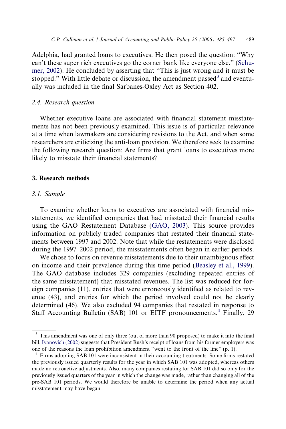Adelphia, had granted loans to executives. He then posed the question: ''Why can't these super rich executives go the corner bank like everyone else.'' ([Schu](#page-13-0)[mer, 2002](#page-13-0)). He concluded by asserting that ''This is just wrong and it must be stopped." With little debate or discussion, the amendment passed<sup>3</sup> and eventually was included in the final Sarbanes-Oxley Act as Section 402.

#### 2.4. Research question

Whether executive loans are associated with financial statement misstatements has not been previously examined. This issue is of particular relevance at a time when lawmakers are considering revisions to the Act, and when some researchers are criticizing the anti-loan provision. We therefore seek to examine the following research question: Are firms that grant loans to executives more likely to misstate their financial statements?

## 3. Research methods

#### 3.1. Sample

To examine whether loans to executives are associated with financial misstatements, we identified companies that had misstated their financial results using the GAO Restatement Database ([GAO, 2003\)](#page-13-0). This source provides information on publicly traded companies that restated their financial statements between 1997 and 2002. Note that while the restatements were disclosed during the 1997–2002 period, the misstatements often began in earlier periods.

We chose to focus on revenue misstatements due to their unambiguous effect on income and their prevalence during this time period ([Beasley et al., 1999\)](#page-12-0). The GAO database includes 329 companies (excluding repeated entries of the same misstatement) that misstated revenues. The list was reduced for foreign companies (11), entries that were erroneously identified as related to revenue (43), and entries for which the period involved could not be clearly determined (46). We also excluded 94 companies that restated in response to Staff Accounting Bulletin (SAB) 101 or EITF pronouncements.<sup>4</sup> Finally, 29

<sup>&</sup>lt;sup>3</sup> This amendment was one of only three (out of more than 90 proposed) to make it into the final bill. [Ivanovich \(2002\)](#page-12-0) suggests that President Bush's receipt of loans from his former employers was one of the reasons the loan prohibition amendment ''went to the front of the line'' (p. 1).

<sup>4</sup> Firms adopting SAB 101 were inconsistent in their accounting treatments. Some firms restated the previously issued quarterly results for the year in which SAB 101 was adopted, whereas others made no retroactive adjustments. Also, many companies restating for SAB 101 did so only for the previously issued quarters of the year in which the change was made, rather than changing all of the pre-SAB 101 periods. We would therefore be unable to determine the period when any actual misstatement may have began.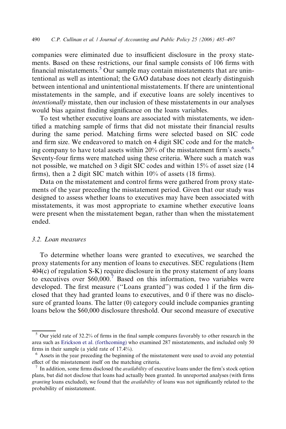companies were eliminated due to insufficient disclosure in the proxy statements. Based on these restrictions, our final sample consists of 106 firms with financial misstatements.<sup>5</sup> Our sample may contain misstatements that are unintentional as well as intentional; the GAO database does not clearly distinguish between intentional and unintentional misstatements. If there are unintentional misstatements in the sample, and if executive loans are solely incentives to intentionally misstate, then our inclusion of these misstatements in our analyses would bias against finding significance on the loans variables.

To test whether executive loans are associated with misstatements, we identified a matching sample of firms that did not misstate their financial results during the same period. Matching firms were selected based on SIC code and firm size. We endeavored to match on 4 digit SIC code and for the matching company to have total assets within 20% of the misstatement firm's assets.<sup>6</sup> Seventy-four firms were matched using these criteria. Where such a match was not possible, we matched on 3 digit SIC codes and within 15% of asset size (14 firms), then a 2 digit SIC match within 10% of assets (18 firms).

Data on the misstatement and control firms were gathered from proxy statements of the year preceding the misstatement period. Given that our study was designed to assess whether loans to executives may have been associated with misstatements, it was most appropriate to examine whether executive loans were present when the misstatement began, rather than when the misstatement ended.

## 3.2. Loan measures

To determine whether loans were granted to executives, we searched the proxy statements for any mention of loans to executives. SEC regulations (Item 404(c) of regulation S-K) require disclosure in the proxy statement of any loans to executives over  $$60,000$ .<sup>7</sup> Based on this information, two variables were developed. The first measure (''Loans granted'') was coded 1 if the firm disclosed that they had granted loans to executives, and 0 if there was no disclosure of granted loans. The latter (0) category could include companies granting loans below the \$60,000 disclosure threshold. Our second measure of executive

 $5$  Our yield rate of 32.2% of firms in the final sample compares favorably to other research in the area such as [Erickson et al. \(forthcoming\)](#page-12-0) who examined 287 misstatements, and included only 50 firms in their sample (a yield rate of 17.4%).

<sup>&</sup>lt;sup>6</sup> Assets in the year preceding the beginning of the misstatement were used to avoid any potential effect of the misstatement itself on the matching criteria.

 $<sup>7</sup>$  In addition, some firms disclosed the *availability* of executive loans under the firm's stock option</sup> plans, but did not disclose that loans had actually been granted. In unreported analyses (with firms granting loans excluded), we found that the *availability* of loans was not significantly related to the probability of misstatement.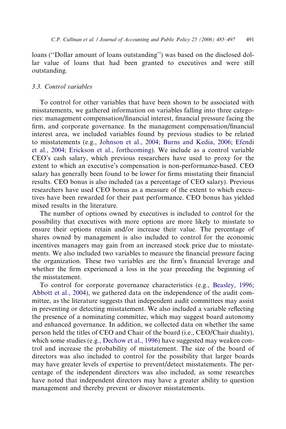loans (''Dollar amount of loans outstanding'') was based on the disclosed dollar value of loans that had been granted to executives and were still outstanding.

## 3.3. Control variables

To control for other variables that have been shown to be associated with misstatements, we gathered information on variables falling into three categories: management compensation/financial interest, financial pressure facing the firm, and corporate governance. In the management compensation/financial interest area, we included variables found by previous studies to be related to misstatements (e.g., [Johnson et al., 2004; Burns and Kedia, 2006; Efendi](#page-12-0) [et al., 2004; Erickson et al., forthcoming](#page-12-0)). We include as a control variable CEO's cash salary, which previous researchers have used to proxy for the extent to which an executive's compensation is non-performance-based. CEO salary has generally been found to be lower for firms misstating their financial results. CEO bonus is also included (as a percentage of CEO salary). Previous researchers have used CEO bonus as a measure of the extent to which executives have been rewarded for their past performance. CEO bonus has yielded mixed results in the literature.

The number of options owned by executives is included to control for the possibility that executives with more options are more likely to misstate to ensure their options retain and/or increase their value. The percentage of shares owned by management is also included to control for the economic incentives managers may gain from an increased stock price due to misstatements. We also included two variables to measure the financial pressure facing the organization. These two variables are the firm's financial leverage and whether the firm experienced a loss in the year preceding the beginning of the misstatement.

To control for corporate governance characteristics (e.g., [Beasley, 1996;](#page-12-0) [Abbott et al., 2004](#page-12-0)), we gathered data on the independence of the audit committee, as the literature suggests that independent audit committees may assist in preventing or detecting misstatement. We also included a variable reflecting the presence of a nominating committee, which may suggest board autonomy and enhanced governance. In addition, we collected data on whether the same person held the titles of CEO and Chair of the board (i.e., CEO/Chair duality), which some studies (e.g., [Dechow et al., 1996\)](#page-12-0) have suggested may weaken control and increase the probability of misstatement. The size of the board of directors was also included to control for the possibility that larger boards may have greater levels of expertise to prevent/detect misstatements. The percentage of the independent directors was also included, as some researches have noted that independent directors may have a greater ability to question management and thereby prevent or discover misstatements.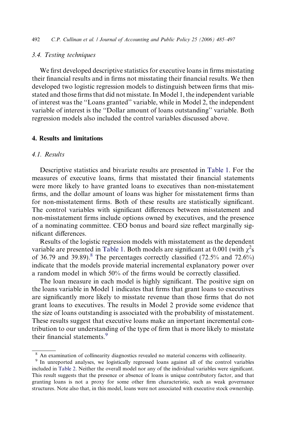## 3.4. Testing techniques

We first developed descriptive statistics for executive loans in firms misstating their financial results and in firms not misstating their financial results. We then developed two logistic regression models to distinguish between firms that misstated and those firms that did not misstate. In Model 1, the independent variable of interest was the ''Loans granted'' variable, while in Model 2, the independent variable of interest is the ''Dollar amount of loans outstanding'' variable. Both regression models also included the control variables discussed above.

### 4. Results and limitations

## 4.1. Results

Descriptive statistics and bivariate results are presented in [Table 1.](#page-9-0) For the measures of executive loans, firms that misstated their financial statements were more likely to have granted loans to executives than non-misstatement firms, and the dollar amount of loans was higher for misstatement firms than for non-misstatement firms. Both of these results are statistically significant. The control variables with significant differences between misstatement and non-misstatement firms include options owned by executives, and the presence of a nominating committee. CEO bonus and board size reflect marginally significant differences.

Results of the logistic regression models with misstatement as the dependent variable are presented in [Table 1](#page-9-0). Both models are significant at 0.001 (with  $\chi^2$ s of 36.79 and 39.89).<sup>8</sup> The percentages correctly classified (72.5% and 72.6%) indicate that the models provide material incremental explanatory power over a random model in which 50% of the firms would be correctly classified.

The loan measure in each model is highly significant. The positive sign on the loans variable in Model 1 indicates that firms that grant loans to executives are significantly more likely to misstate revenue than those firms that do not grant loans to executives. The results in Model 2 provide some evidence that the size of loans outstanding is associated with the probability of misstatement. These results suggest that executive loans make an important incremental contribution to our understanding of the type of firm that is more likely to misstate their financial statements.9

<sup>8</sup> An examination of collinearity diagnostics revealed no material concerns with collinearity. <sup>9</sup> In unreported analyses, we logistically regressed loans against all of the control variables included in [Table 2.](#page-10-0) Neither the overall model nor any of the individual variables were significant. This result suggests that the presence or absence of loans is unique contributory factor, and that granting loans is not a proxy for some other firm characteristic, such as weak governance structures. Note also that, in this model, loans were not associated with executive stock ownership.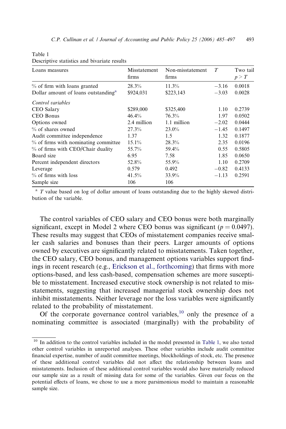#### <span id="page-9-0"></span>Table 1

Descriptive statistics and bivariate results

| Loans measures                                  | Misstatement<br>firms | Non-misstatement<br>firms | T       | Two tail<br>p > T |
|-------------------------------------------------|-----------------------|---------------------------|---------|-------------------|
| % of firm with loans granted                    | 28.3%                 | 11.3%                     | $-3.16$ | 0.0018            |
| Dollar amount of loans outstanding <sup>a</sup> | \$924,031             | \$223,143                 | $-3.03$ | 0.0028            |
| Control variables                               |                       |                           |         |                   |
| CEO Salary                                      | \$289,000             | \$325,400                 | 1.10    | 0.2739            |
| CEO Bonus                                       | 46.4%                 | 76.3%                     | 1.97    | 0.0502            |
| Options owned                                   | 2.4 million           | 1.1 million               | $-2.02$ | 0.0444            |
| % of shares owned                               | 27.3%                 | $23.0\%$                  | $-1.45$ | 0.1497            |
| Audit committee independence                    | 1.37                  | 1.5                       | 1.32    | 0.1877            |
| $\%$ of firms with nominating committee         | 15.1%                 | 28.3%                     | 2.35    | 0.0196            |
| % of firms with CEO/Chair duality               | 55.7%                 | 59.4%                     | 0.55    | 0.5805            |
| Board size                                      | 6.95                  | 7.58                      | 1.85    | 0.0650            |
| Percent independent directors                   | 52.8%                 | 55.9%                     | 1.10    | 0.2709            |
| Leverage                                        | 0.579                 | 0.492                     | $-0.82$ | 0.4133            |
| $%$ of firms with loss                          | 41.5%                 | 33.9%                     | $-1.13$ | 0.2591            |
| Sample size                                     | 106                   | 106                       |         |                   |

<sup>a</sup> T value based on log of dollar amount of loans outstanding due to the highly skewed distribution of the variable.

The control variables of CEO salary and CEO bonus were both marginally significant, except in Model 2 where CEO bonus was significant ( $p = 0.0497$ ). These results may suggest that CEOs of misstatement companies receive smaller cash salaries and bonuses than their peers. Larger amounts of options owned by executives are significantly related to misstatements. Taken together, the CEO salary, CEO bonus, and management options variables support findings in recent research (e.g., [Erickson et al., forthcoming](#page-12-0)) that firms with more options-based, and less cash-based, compensation schemes are more susceptible to misstatement. Increased executive stock ownership is not related to misstatements, suggesting that increased managerial stock ownership does not inhibit misstatements. Neither leverage nor the loss variables were significantly related to the probability of misstatement.

Of the corporate governance control variables,  $\frac{10}{10}$  only the presence of a nominating committee is associated (marginally) with the probability of

<sup>&</sup>lt;sup>10</sup> In addition to the control variables included in the model presented in Table 1, we also tested other control variables in unreported analyses. These other variables include audit committee financial expertise, number of audit committee meetings, blockholdings of stock, etc. The presence of these additional control variables did not affect the relationship between loans and misstatements. Inclusion of these additional control variables would also have materially reduced our sample size as a result of missing data for some of the variables. Given our focus on the potential effects of loans, we chose to use a more parsimonious model to maintain a reasonable sample size.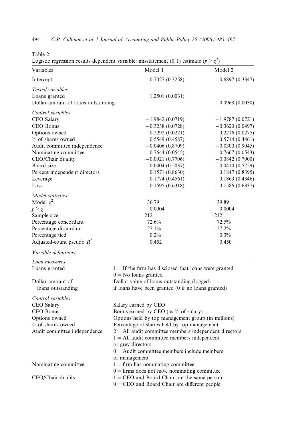<span id="page-10-0"></span>

| 494 |  | C.P. Cullinan et al. <i>  Journal of Accounting and Public Policy 25 (2006) 485–497</i> |  |  |  |  |  |  |  |  |  |  |
|-----|--|-----------------------------------------------------------------------------------------|--|--|--|--|--|--|--|--|--|--|
|-----|--|-----------------------------------------------------------------------------------------|--|--|--|--|--|--|--|--|--|--|

Table 2

Logistic regression results dependent variable: misstatement (0, 1) estimate ( $p > \chi^2$ )

| Variables                          | Model 1                                                 | Model 2           |  |  |  |  |
|------------------------------------|---------------------------------------------------------|-------------------|--|--|--|--|
| Intercept                          | 0.7027(0.3258)                                          | 0.6897(0.3347)    |  |  |  |  |
| Tested variables                   |                                                         |                   |  |  |  |  |
| Loans granted                      | 1.2501(0.0031)                                          |                   |  |  |  |  |
| Dollar amount of loans outstanding |                                                         | 0.0968(0.0030)    |  |  |  |  |
| Control variables                  |                                                         |                   |  |  |  |  |
| <b>CEO</b> Salary                  | $-1.9842(0.0719)$                                       | $-1.9787(0.0721)$ |  |  |  |  |
| <b>CEO</b> Bonus                   | $-0.3238(0.0728)$                                       | $-0.3620(0.0497)$ |  |  |  |  |
| Options owned                      | 0.2292(0.0221)                                          | 0.2216(0.0275)    |  |  |  |  |
| % of shares owned                  | 0.5549(0.4587)                                          | 0.5714(0.4461)    |  |  |  |  |
| Audit committee independence       | $-0.0406(0.8709)$                                       | $-0.0300(0.9045)$ |  |  |  |  |
| Nominating committee               | $-0.7644(0.0545)$                                       | $-0.7667(0.0543)$ |  |  |  |  |
| CEO/Chair duality                  | $-0.0921(0.7706)$                                       | $-0.0842(0.7900)$ |  |  |  |  |
| Board size                         | $-0.0404(0.5837)$                                       | $-0.0414(0.5759)$ |  |  |  |  |
| Percent independent directors      | 0.1571(0.8630)                                          | 0.1847(0.8395)    |  |  |  |  |
| Leverage<br>Loss                   | 0.1774(0.4561)                                          | 0.1863(0.4346)    |  |  |  |  |
|                                    | $-0.1595(0.6318)$                                       | $-0.1586(0.6337)$ |  |  |  |  |
| Model statistics                   |                                                         |                   |  |  |  |  |
| Model $\chi^2$                     | 36.79                                                   | 39.89             |  |  |  |  |
| $p > \chi^2$                       | 0.0004                                                  | 0.0004            |  |  |  |  |
| Sample size                        | 212                                                     | 212               |  |  |  |  |
| Percentage concordant              | 72.6%                                                   | 72.5%             |  |  |  |  |
| Percentage discordant              | 27.1%                                                   | 27.2%             |  |  |  |  |
| Percentage tied                    | 0.2%                                                    | 0.3%              |  |  |  |  |
| Adjusted-count pseudo $R^2$        | 0.452                                                   | 0.450             |  |  |  |  |
| Variable definitions               |                                                         |                   |  |  |  |  |
| Loan measures                      |                                                         |                   |  |  |  |  |
| Loans granted                      | $1 =$ If the firm has disclosed that loans were granted |                   |  |  |  |  |
|                                    | $0 = No$ loans granted                                  |                   |  |  |  |  |
| Dollar amount of                   | Dollar value of loans outstanding (logged)              |                   |  |  |  |  |
| loans outstanding                  | if loans have been granted (0 if no loans granted)      |                   |  |  |  |  |
| Control variables                  |                                                         |                   |  |  |  |  |
| <b>CEO</b> Salary                  | Salary earned by CEO                                    |                   |  |  |  |  |
| CEO Bonus                          | Bonus earned by CEO (as % of salary)                    |                   |  |  |  |  |
| Options owned                      | Options held by top management group (in millions)      |                   |  |  |  |  |
| % of shares owned                  | Percentage of shares held by top management             |                   |  |  |  |  |
| Audit committee independence       | $2 =$ All audit committee members independent directors |                   |  |  |  |  |
|                                    | $1 =$ All audit committee members independent           |                   |  |  |  |  |
|                                    | or grey directors                                       |                   |  |  |  |  |
|                                    | $0 =$ Audit committee members include members           |                   |  |  |  |  |
|                                    | of management                                           |                   |  |  |  |  |
| Nominating committee               | $1 =$ firm has nominating committee                     |                   |  |  |  |  |
|                                    | $0 =$ firms does not have nominating committee          |                   |  |  |  |  |
| CEO/Chair duality                  | $1 =$ CEO and Board Chair are the same person           |                   |  |  |  |  |
|                                    | $0 =$ CEO and Board Chair are different people          |                   |  |  |  |  |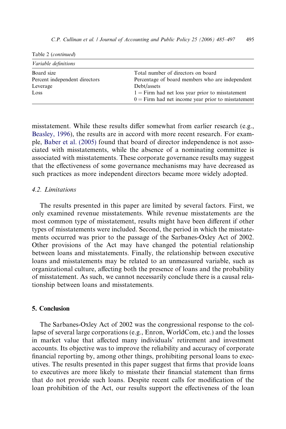| <i>Variable definitions</i>   |                                                                                                            |
|-------------------------------|------------------------------------------------------------------------------------------------------------|
| Board size                    | Total number of directors on board                                                                         |
| Percent independent directors | Percentage of board members who are independent                                                            |
| Leverage                      | Debt/assets                                                                                                |
| Loss                          | $1 =$ Firm had net loss year prior to misstatement<br>$0 =$ Firm had net income year prior to misstatement |
|                               |                                                                                                            |

Table 2 (continued)

misstatement. While these results differ somewhat from earlier research (e.g., [Beasley, 1996\)](#page-12-0), the results are in accord with more recent research. For example, [Baber et al. \(2005\)](#page-12-0) found that board of director independence is not associated with misstatements, while the absence of a nominating committee is associated with misstatements. These corporate governance results may suggest that the effectiveness of some governance mechanisms may have decreased as such practices as more independent directors became more widely adopted.

## 4.2. Limitations

The results presented in this paper are limited by several factors. First, we only examined revenue misstatements. While revenue misstatements are the most common type of misstatement, results might have been different if other types of misstatements were included. Second, the period in which the misstatements occurred was prior to the passage of the Sarbanes-Oxley Act of 2002. Other provisions of the Act may have changed the potential relationship between loans and misstatements. Finally, the relationship between executive loans and misstatements may be related to an unmeasured variable, such as organizational culture, affecting both the presence of loans and the probability of misstatement. As such, we cannot necessarily conclude there is a causal relationship between loans and misstatements.

## 5. Conclusion

The Sarbanes-Oxley Act of 2002 was the congressional response to the collapse of several large corporations (e.g., Enron, WorldCom, etc.) and the losses in market value that affected many individuals' retirement and investment accounts. Its objective was to improve the reliability and accuracy of corporate financial reporting by, among other things, prohibiting personal loans to executives. The results presented in this paper suggest that firms that provide loans to executives are more likely to misstate their financial statement than firms that do not provide such loans. Despite recent calls for modification of the loan prohibition of the Act, our results support the effectiveness of the loan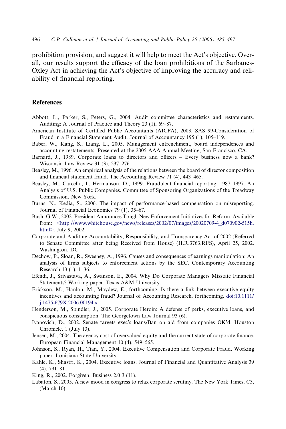<span id="page-12-0"></span>prohibition provision, and suggest it will help to meet the Act's objective. Overall, our results support the efficacy of the loan prohibitions of the Sarbanes-Oxley Act in achieving the Act's objective of improving the accuracy and reliability of financial reporting.

#### References

- Abbott, L., Parker, S., Peters, G., 2004. Audit committee characteristics and restatements. Auditing: A Journal of Practice and Theory 23 (1), 69–87.
- American Institute of Certified Public Accountants (AICPA), 2003. SAS 99-Consideration of Fraud in a Financial Statement Audit. Journal of Accountancy 195 (1), 105–119.
- Baber, W., Kang, S., Liang, L., 2005. Management entrenchment, board independences and accounting restatements. Presented at the 2005 AAA Annual Meeting, San Francisco, CA.
- Barnard, J., 1989. Corporate loans to directors and officers Every business now a bank? Wisconsin Law Review 31 (3), 237–276.
- Beasley, M., 1996. An empirical analysis of the relations between the board of director composition and financial statement fraud. The Accounting Review 71 (4), 443–465.
- Beasley, M., Carcello, J., Hermanson, D., 1999. Fraudulent financial reporting: 1987–1997. An Analysis of U.S. Public Companies. Committee of Sponsoring Organizations of the Treadway Commission, New York.
- Burns, N., Kedia, S., 2006. The impact of performance-based compensation on misreporting. Journal of Financial Economics 79 (1), 35–67.
- Bush, G.W., 2002. President Announces Tough New Enforcement Initiatives for Reform. Available from: [<http://www.whitehouse.gov/news/releases/2002/07/images/20020709-4\\_d070902-515h.](http://www.whitehouse.gov/news/releases/2002/07/images/20020709-4_d070902-515h.html) [html>.](http://www.whitehouse.gov/news/releases/2002/07/images/20020709-4_d070902-515h.html) July 9, 2002.
- Corporate and Auditing Accountability, Responsibility, and Transparency Act of 2002 (Referred to Senate Committee after being Received from House) (H.R.3763.RFS), April 25, 2002. Washington, DC.
- Dechow, P., Sloan, R., Sweeney, A., 1996. Causes and consequences of earnings manipulation: An analysis of firms subjects to enforcement actions by the SEC. Contemporary Accounting Research 13 (1), 1–36.
- Efendi, J., Srivastava, A., Swanson, E., 2004. Why Do Corporate Managers Misstate Financial Statements? Working paper. Texas A&M University.
- Erickson, M., Hanlon, M., Maydew, E., forthcoming. Is there a link between executive equity incentives and accounting fraud? Journal of Accounting Research, forthcoming. [doi:10.1111/](http://dx.doi.org/10.1111/j.1475-679X.2006.00194.x) [j.1475-679X.2006.00194.x.](http://dx.doi.org/10.1111/j.1475-679X.2006.00194.x)
- Henderson, M., Spindler, J., 2005. Corporate Heroin: A defense of perks, executive loans, and conspicuous consumption. The Georgetown Law Journal 93 (6).
- Ivanovich, D., 2002. Senate targets exec's loans/Ban on aid from companies OK'd. Houston Chronicle, 1 (July 13).
- Jensen, M., 2004. The agency cost of overvalued equity and the current state of corporate finance. European Financial Management 10 (4), 549–565.
- Johnson, S., Ryan, H., Tian, Y., 2004. Executive Compensation and Corporate Fraud. Working paper. Louisiana State University.
- Kahle, K., Shastri, K., 2004. Executive loans. Journal of Financial and Quantitative Analysis 39 (4), 791–811.
- King, R., 2002. Forgiven. Business 2.0 3 (11).
- Labaton, S., 2005. A new mood in congress to relax corporate scrutiny. The New York Times, C3, (March 10).